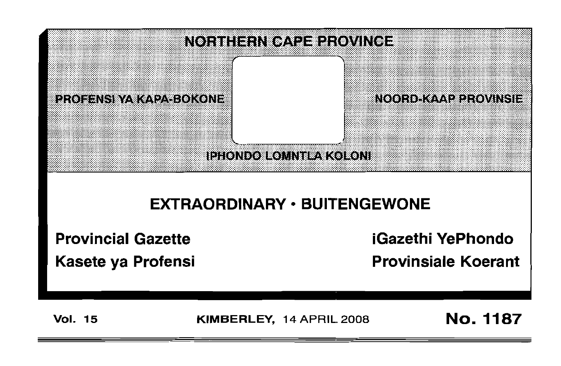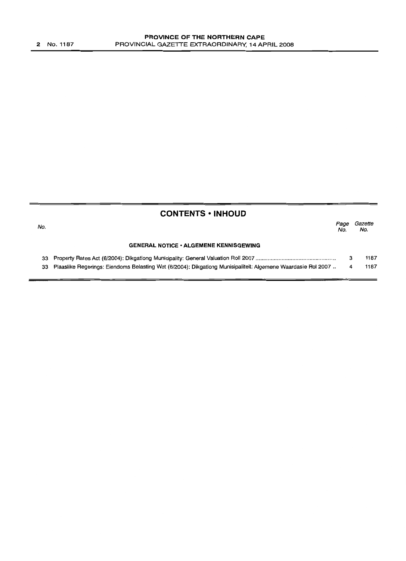| <b>CONTENTS • INHOUD</b> |                                                                                                              |             |                |
|--------------------------|--------------------------------------------------------------------------------------------------------------|-------------|----------------|
| No.                      |                                                                                                              | Page<br>No. | Gazette<br>No. |
|                          | <b>GENERAL NOTICE • ALGEMENE KENNISGEWING</b>                                                                |             |                |
| 33                       |                                                                                                              |             | 1187           |
| 33                       | Plaaslike Regerings: Eiendoms Belasting Wet (6/2004): Dikgationg Munisipaliteit: Algemene Waardasie Rol 2007 |             | 1187           |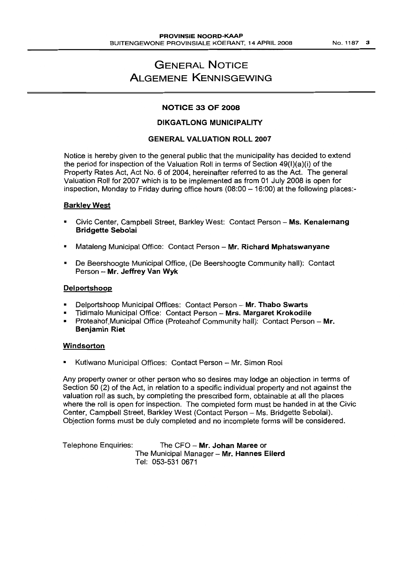No.1187 3

# GENERAL NOTICE ALGEMENE KENNISGEWING

## NOTICE 33 OF 2008

# DIKGATLONG MUNICIPALITY

## GENERAL VALUATION ROLL 2007

Notice is hereby given to the general public that the municipality has decided to extend the period for inspection of the Valuation Roll in terms of Section 49(1)(a)(i) of the Property Rates Act, Act No.6 of 2004, hereinafter referred to as the Act. The general Valuation Roll for 2007 which is to be implemented as from 01 July 2008 is open for inspection, Monday to Friday during office hours  $(08:00 - 16:00)$  at the following places:-

#### Barkley West

- Civic Center, Campbell Street, Barkley West: Contact Person Ms. Kenalemang Bridgette Sebolai
- Mataleng Municipal Office: Contact Person Mr. Richard Mphatswanyane
- De Beershoogte Municipal Office, (De Beershoogte Community hall): Contact Person - Mr. Jeffrey Van Wyk

#### Delportshoop

- Delportshoop Municipal Offices: Contact Person Mr. Thabo Swarts
- Tidimalo Municipal Office: Contact Person Mrs. Margaret Krokodile
- Proteahof Municipal Office (Proteahof Community hall): Contact Person Mr. Benjamin Riet

#### Windsorton

Kutlwano Municipal Offices: Contact Person - Mr. Simon Rooi

Any property owner or other person who so desires may lodge an objection in terms of Section 50 (2) of the Act, in relation to a specific individual property and not against the valuation roll as such, by completing the prescribed form, obtainable at all the places where the roll is open for inspection. The completed form must be handed in at the Civic Center, Campbell Street, Barkley West (Contact Person - Ms. Bridgette Sebolai). Objection forms must be duly completed and no incomplete forms will be considered.

Telephone Enquiries: The CFO - Mr. Johan Maree or The Municipal Manager - Mr. Hannes Eilerd Tel: 053-531 0671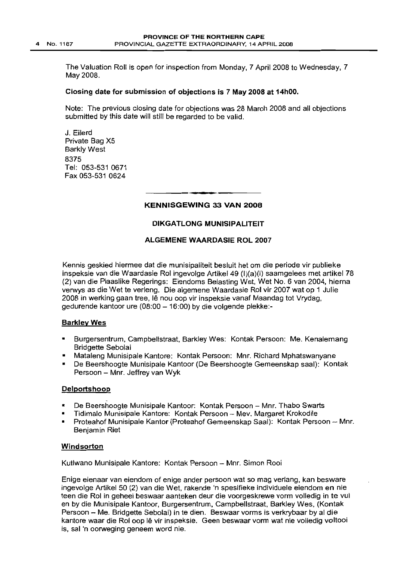The Valuation Roll is open for inspection from Monday, 7 April 2008 to Wednesday, 7 May 2008.

#### Closing date for submission of objections is 7 May 2008 at 14hOO.

Note: The previous closing date for objections was 28 March 2008 and all objections submitted by this date will still be regarded to be valid.

J. Eilerd Private Bag X5 Barkly West 8375 Tel: 053-531 0671 Fax 053-531 0624

## I **• •** KENNISGEWING 33 VAN 2008

#### DIKGATLONG MUNISIPALITEIT

#### ALGEMENE WAARDASIE ROL 2007

Kennis geskied hiermee dat die munisipaliteit besluit het om die periode vir publieke inspeksie van die Waardasie Rol ingevolge Artikel 49 (I)(a)(i) saamgelees met artikel 78 (2) van die Plaaslike Regerings: Eiendoms Belasting Wet, Wet No.6 van 2004, hierna verwys as die Wet te verleng. Die algemene Waardasie Rol vir 2007 wat op 1 Julie 2008 in werking gaan tree, Ie nou oop vir inspeksie vanaf Maandag tot Vrydag, gedurende kantoor ure (08:00 - 16:00) by die volgende plekke:-

#### **Barkley Wes**

- Burgersentrum, Campbellstraat, Barkley Wes: Kontak Persoon: Me. Kenalemang Bridgette Sebolai
- Mataleng Munisipale Kantore: Kontak Persoon: Mnr. Richard Mphatswanyane
- De Beershoogte Munisipale Kantoor (De Beershoogte Gemeenskap saal): Kontak Persoon - Mnr. Jeffrey van Wyk

#### Delportshoop

- De Beershoogte Munisipale Kantoor: Kontak Persoon Mnr. Thabo Swarts
- Tidimalo Munisipale Kantore: Kontak Persoon Mev. Margaret Krokodile
- Proteahof Munisipale Kantor (Proteahof Gemeenskap Saal): Kontak Persoon -- Mnr. Benjamin Riet

#### **Windsorton**

Kutlwano Munisipale Kantore: Kontak Persoon - Mnr. Simon Rooi

Enige eienaar van eiendom of enige ander persoon wat so mag verlang, kan besware ingevolge Artikel 50 (2) van die Wet, rakende 'n spesifieke individuele eiendom en nie teen die Rol in geheel beswaar aanteken deur die voorgeskrewe vorm volledig in te vul en by die Munisipale Kantoor, Burgersentrum, Campbellstraat, Barkley Wes, (Kontak Persoon - Me. Bridgette Sebolai) in te dien. Beswaar vorms is verkrybaar by al die kantore waar die Rol oop Ie vir inspeksie. Geen beswaar vorm wat nie volledig voltooi is, sal 'n oorweging geneem word nie.